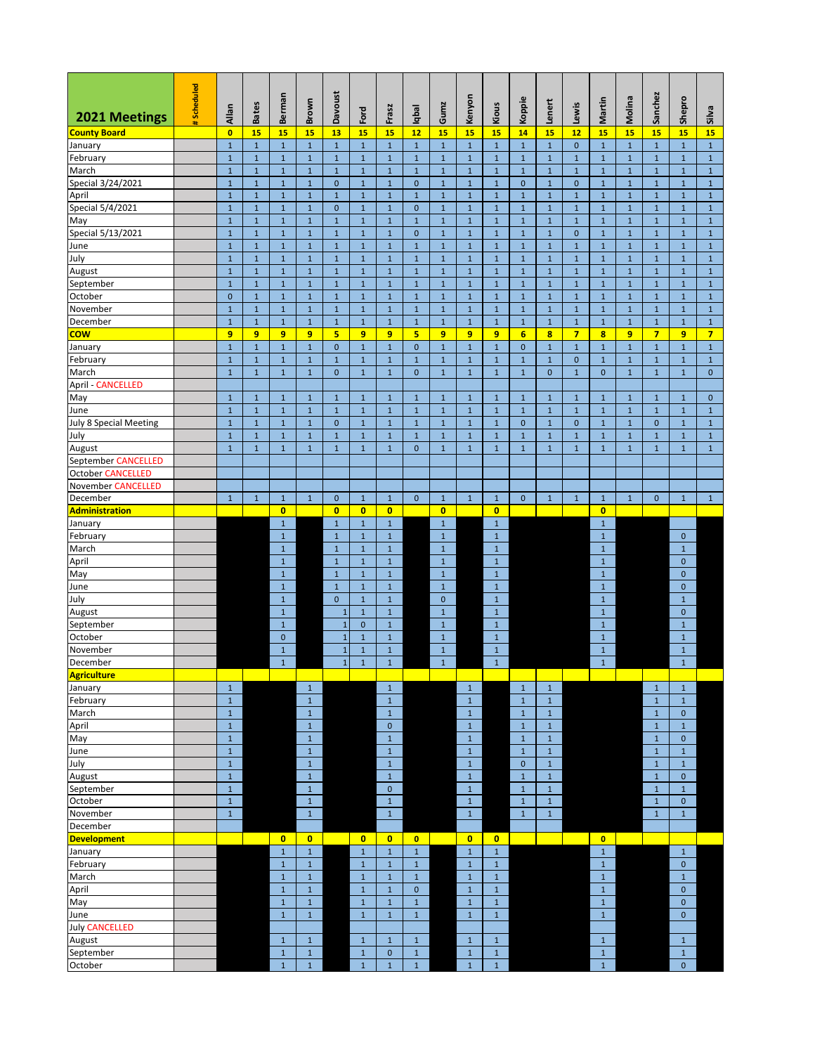| 2021 Meetings                 | Scheduled | Allan                      | <b>Bates</b>               | Berman                      | Brown                       | Davoust                      | Ford                         | Frasz                        | lqbal                        | Gumz                         | Kenyon                       | Kious                        | Koppie                     | Lenert                       | Lewis                        | Martin                       | Molina                       | Sanchez                     | Shepro                       | Silva                        |
|-------------------------------|-----------|----------------------------|----------------------------|-----------------------------|-----------------------------|------------------------------|------------------------------|------------------------------|------------------------------|------------------------------|------------------------------|------------------------------|----------------------------|------------------------------|------------------------------|------------------------------|------------------------------|-----------------------------|------------------------------|------------------------------|
| <b>County Board</b>           |           | $\mathbf{0}$               | 15                         | 15                          | 15                          | 13                           | 15                           | 15                           | 12                           | 15                           | 15                           | 15                           | 14                         | 15                           | 12                           | 15                           | 15                           | 15                          | 15                           | 15                           |
| January                       |           | $\mathbf 1$                | $\mathbf 1$                | $\mathbf{1}$                | $\mathbf{1}$                | $\mathbf{1}$                 | $1\,$                        | $\mathbf 1$                  | $\mathbf{1}$                 | $\mathbf{1}$                 | $\mathbf{1}$                 | $\mathbf{1}$                 | $\mathbf{1}$               | $\mathbf{1}$                 | $\mathbf{0}$                 | $\mathbf{1}$                 | $\mathbf{1}$                 | $\mathbf{1}$                | $\mathbf{1}$                 | $\mathbf{1}$                 |
| February                      |           | $\mathbf 1$                | $1\,$                      | $\mathbf{1}$                | $\mathbf 1$                 | $1\,$                        | $1\,$                        | $1\,$                        | $\mathbf{1}$                 | $1\,$                        | $1\,$                        | $\mathbf{1}$                 | $1\,$                      | $\mathbf{1}$                 | $1\,$                        | $\mathbf{1}$                 | $\mathbf{1}$                 | $\mathbf{1}$                | $\mathbf{1}$                 | $\mathbf{1}$                 |
| March                         |           | $1\,$                      | $1\,$                      | $\mathbf 1$                 | $\mathbf 1$                 | $\mathbf{1}$                 | $\mathbf{1}$                 | $\mathbf{1}$                 | $\mathbf{1}$                 | $\mathbf{1}$                 | $\mathbf{1}$                 | $\mathbf{1}$                 | $\mathbf 1$                | $\mathbf{1}$                 | $\mathbf{1}$                 | $\mathbf{1}$                 | $\mathbf{1}$                 | $1\,$                       | $\mathbf{1}$                 | $\mathbf{1}$                 |
| Special 3/24/2021             |           | $1\,$                      | $1\,$                      | $\mathbf 1$                 | $\mathbf 1$                 | $\mathbf 0$                  | $\mathbf{1}$                 | $\mathbf{1}$                 | $\mathbf 0$                  | $\mathbf{1}$                 | $\mathbf{1}$                 | $\mathbf{1}$                 | $\mathbf 0$                | $\mathbf{1}$                 | $\mathbf{0}$                 | $\mathbf{1}$                 | $\mathbf{1}$                 | $1\,$                       | $1\,$                        | $\mathbf{1}$                 |
| April                         |           | $\mathbf 1$                | $\mathbf 1$                | $\mathbf 1$                 | $\mathbf{1}$                | $\mathbf 1$                  | $1\,$                        | $\mathbf{1}$                 | $\mathbf{1}$                 | $\mathbf{1}$                 | $\mathbf{1}$                 | $\mathbf{1}$                 | $\mathbf{1}$               | $\mathbf{1}$                 | $\mathbf{1}$                 | $\mathbf{1}$                 | $\mathbf{1}$                 | $\mathbf{1}$                | $\mathbf{1}$                 | $\mathbf{1}$                 |
| Special 5/4/2021              |           | $\mathbf 1$                | $\mathbf 1$                | $\mathbf 1$                 | $\mathbf{1}$                | $\mathbf{0}$                 | $\mathbf{1}$                 | $\mathbf{1}$                 | $\mathbf{0}$                 | $\mathbf{1}$                 | $\mathbf{1}$                 | $\mathbf{1}$                 | $\mathbf 1$                | $\mathbf{1}$                 | $\mathbf{1}$                 | $\mathbf{1}$                 | $\mathbf{1}$                 | $\mathbf{1}$                | $\mathbf{1}$                 | $\mathbf{1}$                 |
| May                           |           | $\mathbf 1$                | $\mathbf 1$                | $\mathbf 1$                 | $\mathbf 1$                 | $\mathbf{1}$                 | $\mathbf{1}$                 | $\mathbf{1}$                 | $\mathbf 1$                  | $\mathbf{1}$                 | $\mathbf{1}$                 | $1\,$                        | $\mathbf{1}$               | $\mathbf{1}$                 | $\mathbf{1}$                 | $\mathbf{1}$                 | $\mathbf 1$                  | $\mathbf 1$                 | $\mathbf 1$                  | $\mathbf{1}$                 |
| Special 5/13/2021             |           | $\mathbf{1}$               | $\mathbf 1$                | $\mathbf{1}$                | $\mathbf{1}$                | $\mathbf{1}$                 | $\mathbf{1}$                 | $\mathbf{1}$                 | $\mathbf{0}$                 | $\mathbf{1}$                 | $\mathbf{1}$                 | $1\,$                        | $\mathbf 1$                | $\mathbf{1}$                 | $\mathbf 0$                  | $\mathbf{1}$                 | $\mathbf{1}$                 | $\mathbf{1}$                | $\mathbf{1}$                 | $\mathbf{1}$                 |
| June<br>July                  |           | $1\,$<br>$\mathbf 1$       | $\mathbf 1$<br>$\mathbf 1$ | $\mathbf 1$<br>$\mathbf 1$  | $\mathbf{1}$<br>$\mathbf 1$ | $\mathbf{1}$<br>$\mathbf{1}$ | $\mathbf{1}$<br>$\mathbf{1}$ | $\mathbf{1}$<br>$\mathbf{1}$ | $\mathbf{1}$<br>$\mathbf 1$  | $\mathbf{1}$<br>$\mathbf{1}$ | $\mathbf{1}$<br>$\mathbf{1}$ | $\mathbf{1}$<br>$\mathbf{1}$ | $\mathbf 1$<br>$\mathbf 1$ | $\mathbf{1}$<br>$\mathbf{1}$ | $\mathbf{1}$<br>$\mathbf{1}$ | $\mathbf{1}$<br>$\mathbf{1}$ | $\mathbf{1}$<br>$\mathbf 1$  | $\mathbf{1}$<br>$1\,$       | $\mathbf{1}$<br>$1\,$        | $\mathbf{1}$<br>$1\,$        |
| August                        |           | $1\,$                      | $1\,$                      | $\mathbf 1$                 | $\mathbf{1}$                | $\mathbf{1}$                 | $\mathbf{1}$                 | $\mathbf{1}$                 | $\mathbf{1}$                 | $\mathbf{1}$                 | $\mathbf 1$                  | $\mathbf{1}$                 | $\,1\,$                    | $\mathbf{1}$                 | $\mathbf{1}$                 | $\mathbf{1}$                 | $\mathbf 1$                  | $\mathbf 1$                 | $1\,$                        | $\mathbf{1}$                 |
| September                     |           | $\mathbf 1$                | $\mathbf 1$                | $\mathbf 1$                 | $\mathbf{1}$                | $\mathbf 1$                  | $\mathbf{1}$                 | $\mathbf 1$                  | $\mathbf 1$                  | $\mathbf{1}$                 | $\mathbf{1}$                 | $1\,$                        | $\,1\,$                    | $\mathbf{1}$                 | $\mathbf{1}$                 | $\mathbf{1}$                 | $\mathbf 1$                  | $\mathbf 1$                 | $\,1\,$                      | $\mathbf{1}$                 |
| October                       |           | $\mathbf 0$                | $1\,$                      | $\mathbf 1$                 | $\mathbf{1}$                | $\mathbf{1}$                 | $\mathbf{1}$                 | $\mathbf{1}$                 | $1\,$                        | $\mathbf{1}$                 | $\mathbf{1}$                 | $\mathbf{1}$                 | $\mathbf{1}$               | $\mathbf{1}$                 | $\mathbf{1}$                 | $\mathbf{1}$                 | $\mathbf{1}$                 | $1\,$                       | $1\,$                        | $\mathbf{1}$                 |
| November                      |           | $\mathbf 1$                | $\mathbf 1$                | $\mathbf{1}$                | $\mathbf 1$                 | $\mathbf{1}$                 | $1\,$                        | $\mathbf 1$                  | $\mathbf{1}$                 | $\mathbf{1}$                 | $\mathbf{1}$                 | $\mathbf{1}$                 | $\mathbf 1$                | $\mathbf{1}$                 | $\mathbf 1$                  | $\mathbf{1}$                 | $\mathbf 1$                  | $\mathbf{1}$                | $1\,$                        | $1\,$                        |
| December                      |           | $1\,$                      | $1\,$                      | $\mathbf 1$                 | $\mathbf{1}$                | $\mathbf{1}$                 | $\mathbf{1}$                 | $\mathbf{1}$                 | $\mathbf{1}$                 | $\mathbf{1}$                 | $\mathbf{1}$                 | $\mathbf{1}$                 | $\mathbf{1}$               | $\mathbf{1}$                 | $\mathbf{1}$                 | $\mathbf{1}$                 | $\mathbf{1}$                 | $\mathbf{1}$                | $\mathbf{1}$                 | $\mathbf{1}$                 |
| <b>COW</b>                    |           | 9                          | 9                          | 9                           | 9                           | 5                            | 9                            | 9                            | 5                            | 9                            | 9                            | 9                            | $6\phantom{a}$             | 8                            | $\overline{7}$               | $\bf{8}$                     | 9                            | $\overline{7}$              | 9                            | $\overline{7}$               |
| January                       |           | $\mathbf 1$                | $\mathbf 1$                | $\mathbf 1$                 | $\mathbf 1$                 | $\mathbf{0}$                 | $\mathbf{1}$                 | $\mathbf 1$                  | $\mathbf{0}$                 | $\mathbf{1}$                 | $\mathbf{1}$                 | $\mathbf{1}$                 | $\mathbf{0}$               | $\mathbf{1}$                 | $\mathbf{1}$                 | $\mathbf 1$                  | $\mathbf{1}$                 | $\mathbf{1}$                | $\mathbf{1}$                 | $\mathbf{1}$                 |
| February                      |           | $\mathbf 1$                | $1\,$                      | $\mathbf 1$                 | $\mathbf{1}$                | $\mathbf{1}$                 | $\mathbf{1}$                 | $\mathbf{1}$                 | $\mathbf{1}$                 | $\mathbf{1}$                 | $\mathbf{1}$                 | $\mathbf{1}$                 | $\mathbf 1$                | $\mathbf{1}$                 | $\mathbf{0}$                 | $\mathbf{1}$                 | $\mathbf{1}$                 | $1\,$                       | $1\,$                        | $\mathbf{1}$                 |
| March                         |           | $\mathbf 1$                | $\mathbf 1$                | $\mathbf 1$                 | $\mathbf 1$                 | $\mathbf{0}$                 | $1\,$                        | $\mathbf 1$                  | $\mathbf{0}$                 | $\mathbf{1}$                 | $\mathbf{1}$                 | $1\,$                        | $\mathbf{1}$               | $\overline{0}$               | $\mathbf{1}$                 | $\mathbf{0}$                 | $\mathbf{1}$                 | $\mathbf{1}$                | $1\,$                        | $\mathbf{0}$                 |
| <b>April - CANCELLED</b>      |           |                            |                            |                             |                             |                              |                              |                              |                              |                              |                              |                              |                            |                              |                              |                              |                              |                             |                              |                              |
| May                           |           | $\mathbf 1$                | $\mathbf{1}$               | $1\,$                       | $\mathbf{1}$                | $\mathbf{1}$                 | $\mathbf{1}$                 | $\mathbf{1}$                 | $1\,$                        | $\mathbf{1}$                 | $\mathbf 1$                  | $\mathbf{1}$                 | $\mathbf 1$                | $\mathbf{1}$                 | $\mathbf{1}$                 | $\mathbf{1}$                 | $\mathbf{1}$                 | $1\,$                       | $\mathbf{1}$                 | $\mathbf{0}$                 |
| June                          |           | $\mathbf 1$                | $\mathbf 1$                | $\mathbf 1$                 | $\mathbf 1$                 | $\mathbf{1}$                 | $\mathbf{1}$                 | $\mathbf{1}$                 | $\mathbf{1}$                 | $\mathbf{1}$                 | $\mathbf{1}$                 | $\mathbf{1}$                 | $\mathbf{1}$               | $\mathbf{1}$                 | $\mathbf{1}$                 | $\mathbf{1}$                 | $\mathbf{1}$                 | $\mathbf{1}$                | $\mathbf{1}$                 | $\mathbf{1}$                 |
| <b>July 8 Special Meeting</b> |           | $\mathbf 1$                | $\mathbf 1$                | $\mathbf 1$                 | $\mathbf 1$                 | $\mathbf 0$                  | $\mathbf{1}$                 | $\mathbf{1}$                 | $\mathbf 1$                  | $\mathbf 1$                  | $\mathbf{1}$                 | $\mathbf 1$                  | $\mathbf 0$                | $\mathbf{1}$                 | $\mathbf{0}$                 | $\mathbf 1$                  | $\mathbf 1$                  | $\mathbf 0$                 | $\mathbf 1$                  | $\mathbf 1$                  |
| July                          |           | $\mathbf 1$<br>$1\,$       | $1\,$<br>$1\,$             | $\mathbf 1$<br>$\mathbf 1$  | $\mathbf 1$<br>$\mathbf{1}$ | $\mathbf{1}$<br>$\mathbf{1}$ | $\mathbf{1}$<br>$\mathbf{1}$ | $\mathbf 1$<br>$\mathbf{1}$  | $\mathbf{1}$<br>$\mathbf{0}$ | $\mathbf{1}$<br>$\mathbf{1}$ | $\mathbf{1}$<br>$\mathbf{1}$ | $\mathbf{1}$<br>$\mathbf{1}$ | $1\,$<br>$\mathbf{1}$      | $\mathbf{1}$<br>$\mathbf{1}$ | $\mathbf{1}$<br>$\mathbf{1}$ | $\mathbf{1}$<br>$\mathbf{1}$ | $\mathbf{1}$<br>$\mathbf{1}$ | $\mathbf{1}$<br>$\mathbf 1$ | $\mathbf{1}$<br>$\mathbf{1}$ | $\mathbf{1}$<br>$\mathbf{1}$ |
| August<br>September CANCELLED |           |                            |                            |                             |                             |                              |                              |                              |                              |                              |                              |                              |                            |                              |                              |                              |                              |                             |                              |                              |
| <b>October CANCELLED</b>      |           |                            |                            |                             |                             |                              |                              |                              |                              |                              |                              |                              |                            |                              |                              |                              |                              |                             |                              |                              |
| November CANCELLED            |           |                            |                            |                             |                             |                              |                              |                              |                              |                              |                              |                              |                            |                              |                              |                              |                              |                             |                              |                              |
| December                      |           | $1\,$                      | $\mathbf{1}$               | $1\,$                       | $\mathbf{1}$                | $\mathbf{0}$                 | $\mathbf{1}$                 | $\mathbf{1}$                 | $\mathbf 0$                  | $\mathbf{1}$                 | $\mathbf{1}$                 | $\mathbf{1}$                 | $\mathbf 0$                | $\mathbf{1}$                 | $\mathbf{1}$                 | $\mathbf{1}$                 | $\mathbf{1}$                 | $\mathbf{0}$                | $\mathbf{1}$                 | $\mathbf{1}$                 |
| <b>Administration</b>         |           |                            |                            | $\overline{\mathbf{0}}$     |                             | $\overline{0}$               | $\overline{0}$               | $\mathbf{0}$                 |                              | $\overline{0}$               |                              | $\overline{0}$               |                            |                              |                              | $\overline{0}$               |                              |                             |                              |                              |
| January                       |           |                            |                            | $\mathbf 1$                 |                             | $\mathbf{1}$                 | $\mathbf{1}$                 | $\mathbf 1$                  |                              | $\mathbf{1}$                 |                              | $\mathbf{1}$                 |                            |                              |                              | $\,1\,$                      |                              |                             |                              |                              |
| February                      |           |                            |                            | $\mathbf 1$                 |                             | $\mathbf{1}$                 | $\mathbf{1}$                 | $\mathbf{1}$                 |                              | $\mathbf{1}$                 |                              | $1\,$                        |                            |                              |                              | $\mathbf{1}$                 |                              |                             | $\mathbf{0}$                 |                              |
| March                         |           |                            |                            | $\mathbf{1}$                |                             | $\mathbf{1}$                 | $\mathbf{1}$                 | $\mathbf{1}$                 |                              | $\mathbf{1}$                 |                              | $\mathbf{1}$                 |                            |                              |                              | $\mathbf{1}$                 |                              |                             | $\mathbf{1}$                 |                              |
| April                         |           |                            |                            | $\mathbf 1$                 |                             | $\mathbf{1}$                 | $\mathbf{1}$                 | $\mathbf{1}$                 |                              | $\mathbf{1}$                 |                              | $\mathbf{1}$                 |                            |                              |                              | $\mathbf{1}$                 |                              |                             | $\mathbf{0}$                 |                              |
| May                           |           |                            |                            | $\mathbf 1$                 |                             | $\mathbf{1}$                 | $\mathbf{1}$                 | $\mathbf{1}$                 |                              | $\mathbf{1}$                 |                              | $\mathbf{1}$                 |                            |                              |                              | $\mathbf{1}$                 |                              |                             | $\mathbf{0}$                 |                              |
| June                          |           |                            |                            | $\mathbf 1$                 |                             | $\mathbf{1}$                 | $1\,$                        | $\mathbf{1}$                 |                              | $\mathbf{1}$                 |                              | $\mathbf{1}$                 |                            |                              |                              | $\mathbf{1}$                 |                              |                             | $\mathbf{0}$                 |                              |
| July                          |           |                            |                            | $\mathbf 1$                 |                             | $\mathbf{0}$                 | $\mathbf{1}$                 | $\mathbf{1}$                 |                              | $\mathbf{0}$                 |                              | $1\,$                        |                            |                              |                              | $\mathbf{1}$                 |                              |                             | $\mathbf{1}$                 |                              |
| August<br>September           |           |                            |                            | $\mathbf 1$<br>$\mathbf 1$  |                             | $\mathbf{1}$<br>$\mathbf{1}$ | $\mathbf{1}$<br>$\mathbf{0}$ | $\mathbf{1}$<br>$\mathbf{1}$ |                              | $\mathbf{1}$<br>$\mathbf 1$  |                              | $1\,$<br>$\mathbf{1}$        |                            |                              |                              | $\mathbf{1}$<br>$\mathbf{1}$ |                              |                             | $\mathbf 0$<br>$\mathbf{1}$  |                              |
| October                       |           |                            |                            | $\mathbf 0$                 |                             | $\mathbf{1}$                 | $\mathbf{1}$                 | $\mathbf{1}$                 |                              | $\mathbf{1}$                 |                              | $\mathbf{1}$                 |                            |                              |                              | $\mathbf{1}$                 |                              |                             | $\mathbf{1}$                 |                              |
| November                      |           |                            |                            | $\mathbf{1}$                |                             | $\mathbf{1}$                 | $\mathbf{1}$                 | $\mathbf{1}$                 |                              | $\mathbf{1}$                 |                              | $\mathbf 1$                  |                            |                              |                              | $1\,$                        |                              |                             | $\mathbf{1}$                 |                              |
| December                      |           |                            |                            | $\mathbf{1}$                |                             | $\mathbf{1}$                 | $\mathbf{1}$                 | $\mathbf{1}$                 |                              | $\mathbf 1$                  |                              | $\mathbf 1$                  |                            |                              |                              | $\mathbf 1$                  |                              |                             | $\mathbf 1$                  |                              |
| Agriculture                   |           |                            |                            |                             |                             |                              |                              |                              |                              |                              |                              |                              |                            |                              |                              |                              |                              |                             |                              |                              |
| January                       |           | $\mathbf 1$                |                            |                             | $\mathbf{1}$                |                              |                              | $\mathbf{1}$                 |                              |                              | $\mathbf 1$                  |                              | $\mathbf 1$                | $\mathbf{1}$                 |                              |                              |                              | $\mathbf{1}$                | $\mathbf{1}$                 |                              |
| February                      |           | $\mathbf 1$                |                            |                             | $\mathbf 1$                 |                              |                              | $\mathbf 1$                  |                              |                              | $\mathbf 1$                  |                              | $\mathbf 1$                | $\mathbf{1}$                 |                              |                              |                              | $\mathbf{1}$                | $1\,$                        |                              |
| March                         |           | $\mathbf 1$                |                            |                             | $\mathbf 1$                 |                              |                              | $\mathbf 1$                  |                              |                              | $\mathbf 1$                  |                              | $\mathbf 1$                | $1\,$                        |                              |                              |                              | $\mathbf{1}$                | $\mathbf 0$                  |                              |
| April                         |           | $\mathbf 1$                |                            |                             | $\mathbf 1$                 |                              |                              | $\mathbf{0}$                 |                              |                              | $\mathbf 1$                  |                              | $\,1\,$                    | $\mathbf{1}$                 |                              |                              |                              | $\mathbf{1}$                | $\mathbf 1$                  |                              |
| May                           |           | $\mathbf 1$                |                            |                             | $\mathbf 1$                 |                              |                              | $\mathbf 1$                  |                              |                              | $\,1\,$                      |                              | $\,1\,$                    | $\mathbf{1}$                 |                              |                              |                              | $\mathbf 1$                 | $\pmb{0}$                    |                              |
| June                          |           | $\mathbf 1$                |                            |                             | $\mathbf 1$                 |                              |                              | $\mathbf 1$                  |                              |                              | $\mathbf 1$                  |                              | $\mathbf 1$                | $\mathbf{1}$                 |                              |                              |                              | $\mathbf{1}$                | $\mathbf 1$                  |                              |
| July                          |           | $\mathbf{1}$               |                            |                             | $\mathbf 1$                 |                              |                              | $\,1\,$<br>$\mathbf 1$       |                              |                              | $\,1\,$                      |                              | $\pmb{0}$                  | $\mathbf 1$                  |                              |                              |                              | $\mathbf 1$                 | $1\,$                        |                              |
| August<br>September           |           | $\mathbf 1$<br>$\mathbf 1$ |                            |                             | $\mathbf 1$<br>$1\,$        |                              |                              | $\mathbf 0$                  |                              |                              | $\,1\,$<br>$\,$ 1 $\,$       |                              | $\,1\,$<br>$\mathbf 1$     | $\mathbf{1}$<br>$\mathbf{1}$ |                              |                              |                              | $\mathbf{1}$<br>$1\,$       | $\mathbf{0}$<br>$1\,$        |                              |
| October                       |           | $\mathbf 1$                |                            |                             | $\mathbf 1$                 |                              |                              | $\mathbf 1$                  |                              |                              | $\mathbf 1$                  |                              | $\mathbf 1$                | $1\,$                        |                              |                              |                              | $1\,$                       | $\mathbf{0}$                 |                              |
| November                      |           | $\mathbf 1$                |                            |                             | $\mathbf 1$                 |                              |                              | $\mathbf 1$                  |                              |                              | $\mathbf 1$                  |                              | $\,1\,$                    | $\mathbf{1}$                 |                              |                              |                              | $\mathbf{1}$                | $1\,$                        |                              |
| December                      |           |                            |                            |                             |                             |                              |                              |                              |                              |                              |                              |                              |                            |                              |                              |                              |                              |                             |                              |                              |
| <b>Development</b>            |           |                            |                            | $\mathbf{0}$                | $\overline{0}$              |                              | $\mathbf{0}$                 | $\mathbf{0}$                 | $\bullet$                    |                              | $\mathbf{0}$                 | $\bullet$                    |                            |                              |                              | $\bullet$                    |                              |                             |                              |                              |
| January                       |           |                            |                            | $\mathbf 1$                 | $\mathbf 1$                 |                              | $1\,$                        | $\mathbf{1}$                 | $\mathbf 1$                  |                              | $1\,$                        | $\mathbf{1}$                 |                            |                              |                              | $\mathbf{1}$                 |                              |                             | $\mathbf{1}$                 |                              |
| February                      |           |                            |                            | $\mathbf 1$                 | $\mathbf 1$                 |                              | $\mathbf{1}$                 | $\mathbf{1}$                 | $\mathbf{1}$                 |                              | $1\,$                        | $\mathbf{1}$                 |                            |                              |                              | $\mathbf{1}$                 |                              |                             | $\mathbf{0}$                 |                              |
| March                         |           |                            |                            | $\mathbf 1$                 | $\mathbf 1$                 |                              | $1\,$                        | $1\,$                        | $\mathbf 1$                  |                              | $1\,$                        | $\mathbf{1}$                 |                            |                              |                              | $\mathbf{1}$                 |                              |                             | $1\,$                        |                              |
| April                         |           |                            |                            | $\mathbf 1$                 | $\mathbf 1$                 |                              | $\mathbf{1}$                 | $\mathbf{1}$                 | $\mathbf{0}$                 |                              | $\mathbf 1$                  | $1\,$                        |                            |                              |                              | $\mathbf{1}$                 |                              |                             | $\mathbf{0}$                 |                              |
| May                           |           |                            |                            | $\mathbf{1}$                | $\,1\,$                     |                              | $\mathbf 1$                  | $\mathbf{1}$                 | $1\,$                        |                              | $\mathbf 1$                  | $\mathbf{1}$                 |                            |                              |                              | $\mathbf{1}$                 |                              |                             | $\mathbf{0}$                 |                              |
| June                          |           |                            |                            | $\mathbf 1$                 | $\,1\,$                     |                              | $\mathbf 1$                  | $\mathbf 1$                  | $\mathbf 1$                  |                              | $\mathbf{1}$                 | $\mathbf{1}$                 |                            |                              |                              | $\mathbf{1}$                 |                              |                             | $\mathbf{0}$                 |                              |
| <b>July CANCELLED</b>         |           |                            |                            |                             |                             |                              |                              |                              |                              |                              |                              |                              |                            |                              |                              |                              |                              |                             |                              |                              |
| August                        |           |                            |                            | $\mathbf 1$                 | $1\,$                       |                              | $1\,$                        | $\mathbf{1}$                 | $\mathbf{1}$                 |                              | $1\,$                        | $\mathbf{1}$                 |                            |                              |                              | 1                            |                              |                             | $\mathbf{1}$                 |                              |
| September                     |           |                            |                            | $\mathbf 1$<br>$\mathbf{1}$ | $\mathbf 1$                 |                              | $\mathbf 1$                  | $\mathbf{0}$                 | $1\,$                        |                              | $\mathbf{1}$                 | $\mathbf{1}$                 |                            |                              |                              | $\mathbf{1}$<br>$\mathbf{1}$ |                              |                             | $\mathbf{1}$                 |                              |
| October                       |           |                            |                            |                             | $\mathbf 1$                 |                              | $\mathbf{1}$                 | $\mathbf{1}$                 | $1\,$                        |                              | $\mathbf{1}$                 | $\mathbf{1}$                 |                            |                              |                              |                              |                              |                             | $\mathbf{0}$                 |                              |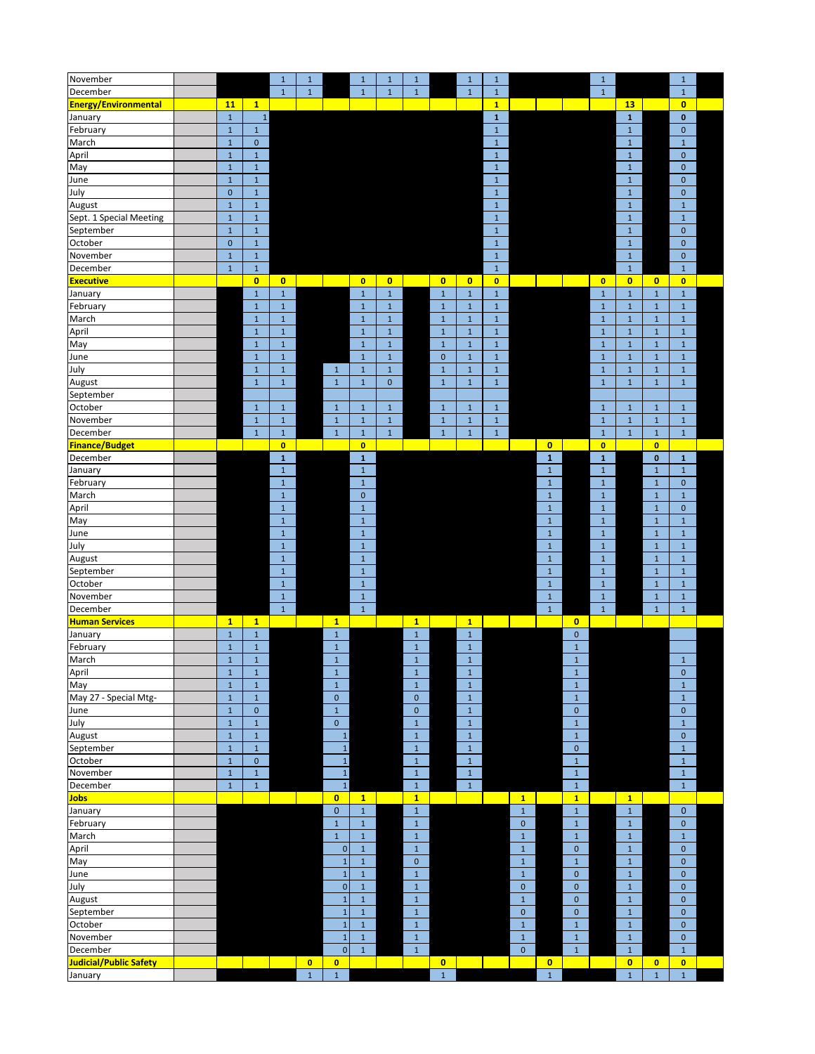| November                    |              |                | $\mathbf 1$    | $\mathbf 1$ |                | $1\,$        | $\mathbf 1$  | $\mathbf{1}$ |              | $\mathbf 1$    | $1\,$        |              |              |              | $\,1\,$      |                |              | $\mathbf 1$    |  |
|-----------------------------|--------------|----------------|----------------|-------------|----------------|--------------|--------------|--------------|--------------|----------------|--------------|--------------|--------------|--------------|--------------|----------------|--------------|----------------|--|
| December                    |              |                | $\mathbf{1}$   | $\mathbf 1$ |                | $\mathbf{1}$ | $1\,$        | $\mathbf 1$  |              | $\mathbf{1}$   | $\mathbf{1}$ |              |              |              | $1\,$        |                |              | $\mathbf{1}$   |  |
| <b>Energy/Environmental</b> | 11           | $\mathbf{1}$   |                |             |                |              |              |              |              |                | $\mathbf{1}$ |              |              |              |              | 13             |              | $\bullet$      |  |
| January                     | $\,1\,$      | $\,1\,$        |                |             |                |              |              |              |              |                | $\mathbf 1$  |              |              |              |              | $\mathbf 1$    |              | 0              |  |
| February                    | $\mathbf 1$  | $1\,$          |                |             |                |              |              |              |              |                | $\,1\,$      |              |              |              |              | $\,1\,$        |              | $\pmb{0}$      |  |
| March                       | $\mathbf 1$  | $\pmb{0}$      |                |             |                |              |              |              |              |                | $\mathbf{1}$ |              |              |              |              | $\mathbf 1$    |              | $\mathbf 1$    |  |
|                             |              |                |                |             |                |              |              |              |              |                |              |              |              |              |              |                |              |                |  |
| April                       | $\mathbf 1$  | $\,1\,$        |                |             |                |              |              |              |              |                | $1\,$        |              |              |              |              | $\,1\,$        |              | $\pmb{0}$      |  |
| May                         | $\mathbf{1}$ | $\mathbf{1}$   |                |             |                |              |              |              |              |                | $\mathbf 1$  |              |              |              |              | $\mathbf 1$    |              | $\pmb{0}$      |  |
| June                        | $\mathbf{1}$ | $\mathbf 1$    |                |             |                |              |              |              |              |                | $\mathbf{1}$ |              |              |              |              | $\,1\,$        |              | $\pmb{0}$      |  |
| July                        | $\mathbf{0}$ | $\,1\,$        |                |             |                |              |              |              |              |                | $\mathbf 1$  |              |              |              |              | $\mathbf 1$    |              | $\mathbf{0}$   |  |
| August                      | $\mathbf 1$  | $\,1\,$        |                |             |                |              |              |              |              |                | $\,1\,$      |              |              |              |              | $\,1\,$        |              | $1\,$          |  |
| Sept. 1 Special Meeting     | $\mathbf 1$  | $\,1\,$        |                |             |                |              |              |              |              |                | $\mathbf{1}$ |              |              |              |              | $\mathbf 1$    |              | $\mathbf 1$    |  |
| September                   | $\mathbf 1$  | $1\,$          |                |             |                |              |              |              |              |                | $\mathbf{1}$ |              |              |              |              | $\,1\,$        |              | $\pmb{0}$      |  |
| October                     | $\pmb{0}$    | $\mathbf 1$    |                |             |                |              |              |              |              |                | $\mathbf 1$  |              |              |              |              | $\,1\,$        |              | $\pmb{0}$      |  |
| November                    | $\mathbf{1}$ | $\mathbf 1$    |                |             |                |              |              |              |              |                | $\mathbf{1}$ |              |              |              |              | $\,1\,$        |              | $\pmb{0}$      |  |
| December                    | $\mathbf 1$  | $\,1\,$        |                |             |                |              |              |              |              |                | $\mathbf 1$  |              |              |              |              | $\mathbf 1$    |              | $\mathbf{1}$   |  |
| <b>Executive</b>            |              | $\overline{0}$ | $\overline{0}$ |             |                | $\bullet$    | $\mathbf{0}$ |              | $\mathbf{0}$ | $\overline{0}$ | $\bullet$    |              |              |              | $\bullet$    | $\overline{0}$ | $\bullet$    | $\bullet$      |  |
| January                     |              | $1\,$          | $\mathbf 1$    |             |                | $1\,$        | $\,1\,$      |              | $\,1\,$      | $\mathbf 1$    | $\mathbf{1}$ |              |              |              | $\mathbf 1$  | $\mathbf 1$    | $\mathbf 1$  | $\mathbf{1}$   |  |
|                             |              | $\mathbf{1}$   | $\mathbf 1$    |             |                | $\mathbf 1$  | $\mathbf 1$  |              | $\mathbf 1$  | $\mathbf 1$    | $1\,$        |              |              |              | $\mathbf 1$  | $\mathbf 1$    | $\mathbf{1}$ | $\mathbf{1}$   |  |
| February                    |              |                |                |             |                |              |              |              |              |                |              |              |              |              |              |                |              |                |  |
| March                       |              | $\mathbf{1}$   | $\mathbf 1$    |             |                | $1\,$        | $\mathbf 1$  |              | $\mathbf 1$  | $\mathbf 1$    | $\mathbf 1$  |              |              |              | $1\,$        | $\mathbf 1$    | $1\,$        | $1\,$          |  |
| April                       |              | $\mathbf 1$    | $\mathbf 1$    |             |                | $\,1\,$      | $\mathbf 1$  |              | $\,1\,$      | $\mathbf 1$    | $\mathbf 1$  |              |              |              | $\mathbf 1$  | $\mathbf 1$    | $\mathbf 1$  | $\mathbf 1$    |  |
| May                         |              | $\mathbf{1}$   | $\mathbf 1$    |             |                | $\mathbf{1}$ | $\,1\,$      |              | $\,1\,$      | $\mathbf 1$    | $\mathbf 1$  |              |              |              | $\mathbf{1}$ | $\mathbf 1$    | $\mathbf{1}$ | $\mathbf{1}$   |  |
| June                        |              | $\mathbf{1}$   | $\mathbf 1$    |             |                | $\,1\,$      | $\,1\,$      |              | $\mathbf 0$  | $\mathbf 1$    | $\mathbf 1$  |              |              |              | $1\,$        | $\,1\,$        | $\mathbf 1$  | $\mathbf{1}$   |  |
| July                        |              | $\mathbf{1}$   | $\mathbf 1$    |             | $\mathbf 1$    | $\,1\,$      | $\mathbf 1$  |              | $\,1\,$      | $\,1\,$        | $\mathbf 1$  |              |              |              | $\mathbf 1$  | $\mathbf 1$    | $\mathbf 1$  | $\mathbf 1$    |  |
| August                      |              | $\mathbf 1$    | $\mathbf 1$    |             | $\mathbf 1$    | $\,1\,$      | $\pmb{0}$    |              | $\mathbf 1$  | $\mathbf 1$    | $\mathbf{1}$ |              |              |              | $\mathbf{1}$ | $\mathbf 1$    | $\mathbf 1$  | $\mathbf{1}$   |  |
| September                   |              |                |                |             |                |              |              |              |              |                |              |              |              |              |              |                |              |                |  |
| October                     |              | $\mathbf{1}$   | $\mathbf 1$    |             | $\mathbf 1$    | $\mathbf{1}$ | $\mathbf{1}$ |              | $\mathbf{1}$ | $\mathbf{1}$   | $\mathbf{1}$ |              |              |              | $1\,$        | $\mathbf 1$    | $\mathbf 1$  | $\mathbf 1$    |  |
| November                    |              | $1\,$          | $\mathbf 1$    |             | $\mathbf 1$    | $\,1\,$      | $\,1\,$      |              | $\,1\,$      | $\mathbf 1$    | $\mathbf 1$  |              |              |              | $\mathbf 1$  | $\mathbf 1$    | $\mathbf 1$  | $\mathbf 1$    |  |
| December                    |              | $\mathbf 1$    | $\mathbf 1$    |             | $\mathbf 1$    | $\,1\,$      | $\,1\,$      |              | $\,1\,$      | $\mathbf 1$    | $1\,$        |              |              |              | $\mathbf 1$  | $\mathbf{1}$   | $\mathbf{1}$ | $\mathbf{1}$   |  |
| <b>Finance/Budget</b>       |              |                | $\bullet$      |             |                | $\bullet$    |              |              |              |                |              |              | $\bullet$    |              | $\bullet$    |                | $\bullet$    |                |  |
|                             |              |                |                |             |                |              |              |              |              |                |              |              | $\mathbf{1}$ |              |              |                |              |                |  |
| December                    |              |                | $\mathbf 1$    |             |                | $\mathbf 1$  |              |              |              |                |              |              |              |              | $\mathbf 1$  |                | $\mathbf{0}$ | $\mathbf{1}$   |  |
| January                     |              |                | $\mathbf 1$    |             |                | $1\,$        |              |              |              |                |              |              | $\,1\,$      |              | $\,1\,$      |                | $\mathbf 1$  | $\mathbf 1$    |  |
| February                    |              |                | $\mathbf 1$    |             |                | $\,1\,$      |              |              |              |                |              |              | $\mathbf 1$  |              | $\mathbf 1$  |                | $\mathbf 1$  | $\pmb{0}$      |  |
| March                       |              |                | $\mathbf 1$    |             |                | $\mathbf 0$  |              |              |              |                |              |              | $\mathbf 1$  |              | $\,1\,$      |                | $\mathbf 1$  | $1\,$          |  |
| April                       |              |                | $\mathbf 1$    |             |                | $\mathbf 1$  |              |              |              |                |              |              | $\mathbf 1$  |              | $\mathbf 1$  |                | $\mathbf{1}$ | $\mathbf{0}$   |  |
| May                         |              |                | $\mathbf 1$    |             |                | $\,1\,$      |              |              |              |                |              |              | $\,1\,$      |              | $1\,$        |                | $\mathbf{1}$ | $\mathbf{1}$   |  |
| June                        |              |                | $\mathbf 1$    |             |                | $\mathbf 1$  |              |              |              |                |              |              | $1\,$        |              | $1\,$        |                | $\mathbf{1}$ | $1\,$          |  |
| July                        |              |                | $\mathbf 1$    |             |                | $\mathbf 1$  |              |              |              |                |              |              | $\mathbf 1$  |              | $\mathbf 1$  |                | $1\,$        | $\mathbf{1}$   |  |
| August                      |              |                | $\mathbf 1$    |             |                | $\,1\,$      |              |              |              |                |              |              | $1\,$        |              | $1\,$        |                | $1\,$        | $1\,$          |  |
| September                   |              |                | $\mathbf 1$    |             |                | $\mathbf 1$  |              |              |              |                |              |              | $\mathbf{1}$ |              | $\mathbf 1$  |                | $\mathbf 1$  | $\mathbf{1}$   |  |
| October                     |              |                | $\mathbf 1$    |             |                | $\,1\,$      |              |              |              |                |              |              | $\mathbf{1}$ |              | $\mathbf 1$  |                | $\mathbf{1}$ | $\mathbf{1}$   |  |
|                             |              |                |                |             |                |              |              |              |              |                |              |              |              |              |              |                |              |                |  |
| November                    |              |                | $\,1\,$        |             |                | $\,1\,$      |              |              |              |                |              |              | $1\,$        |              | $1\,$        |                | $1\,$        | $\mathbf{1}$   |  |
| December                    |              |                | $\mathbf 1$    |             |                | $\,1\,$      |              |              |              |                |              |              | $\mathbf{1}$ |              | $\mathbf 1$  |                | $\mathbf{1}$ | $\mathbf 1$    |  |
| <b>Human Services</b>       | $\mathbf{1}$ | $\mathbf{1}$   |                |             | $\mathbf{1}$   |              |              | $\mathbf{1}$ |              | 1              |              |              |              | $\bullet$    |              |                |              |                |  |
| January                     | $\mathbf 1$  | $\,1\,$        |                |             | $\mathbf 1$    |              |              | $\mathbf 1$  |              | $\mathbf 1$    |              |              |              | $\pmb{0}$    |              |                |              |                |  |
| February                    | $\mathbf{1}$ | $\mathbf 1$    |                |             | $\mathbf 1$    |              |              | $\mathbf{1}$ |              | $\mathbf 1$    |              |              |              | $\mathbf 1$  |              |                |              |                |  |
| March                       | $\mathbf{1}$ | $\mathbf 1$    |                |             | $\mathbf 1$    |              |              | $\mathbf 1$  |              | $\mathbf 1$    |              |              |              | $\mathbf 1$  |              |                |              | $\mathbf{1}$   |  |
| April                       | $\mathbf{1}$ | $1\,$          |                |             | $\mathbf 1$    |              |              | $1\,$        |              | $\mathbf 1$    |              |              |              | $\mathbf 1$  |              |                |              | 0              |  |
| May                         | $\mathbf 1$  | $1\,$          |                |             | $\mathbf 1$    |              |              | $\mathbf 1$  |              | $\,1\,$        |              |              |              | $\mathbf 1$  |              |                |              | $\mathbf 1$    |  |
| May 27 - Special Mtg-       | $\mathbf 1$  | $1\,$          |                |             | $\pmb{0}$      |              |              | $\pmb{0}$    |              | $\,$ 1 $\,$    |              |              |              | $\mathbf 1$  |              |                |              | $\mathbf 1$    |  |
| June                        | $\mathbf 1$  | $\pmb{0}$      |                |             | $\mathbf 1$    |              |              | $\pmb{0}$    |              | $\mathbf 1$    |              |              |              | $\pmb{0}$    |              |                |              | $\pmb{0}$      |  |
| July                        | $\mathbf 1$  | $\mathbf 1$    |                |             | $\pmb{0}$      |              |              | $\mathbf 1$  |              | $\,1\,$        |              |              |              | $\mathbf 1$  |              |                |              | $\mathbf 1$    |  |
| August                      | $\mathbf 1$  | $\,1\,$        |                |             | $\mathbf 1$    |              |              | $\mathbf 1$  |              | $\mathbf 1$    |              |              |              | $\mathbf 1$  |              |                |              | $\overline{0}$ |  |
|                             |              |                |                |             |                |              |              |              |              |                |              |              |              |              |              |                |              |                |  |
| September                   | $\mathbf 1$  | $\mathbf 1$    |                |             | $\mathbf 1$    |              |              | $\mathbf 1$  |              | $\,1\,$        |              |              |              | $\pmb{0}$    |              |                |              | $\mathbf{1}$   |  |
| October                     | $\mathbf 1$  | $\mathbf 0$    |                |             | $\mathbf 1$    |              |              | $\,1\,$      |              | $\mathbf 1$    |              |              |              | $\mathbf 1$  |              |                |              | $\mathbf 1$    |  |
| November                    | $\mathbf{1}$ | $\mathbf 1$    |                |             | $\mathbf 1$    |              |              | $\,1\,$      |              | $\,1\,$        |              |              |              | $\mathbf 1$  |              |                |              | $\mathbf 1$    |  |
| December                    | $\mathbf 1$  | $\,1\,$        |                |             | $\mathbf 1$    |              |              | $\mathbf 1$  |              | $\mathbf{1}$   |              |              |              | $\mathbf 1$  |              |                |              | $\mathbf{1}$   |  |
| <b>Jobs</b>                 |              |                |                |             | $\overline{0}$ | $\mathbf{1}$ |              | $\mathbf{1}$ |              |                |              | $\mathbf{1}$ |              | $\mathbf{1}$ |              | $\mathbf{1}$   |              |                |  |
| January                     |              |                |                |             | $\pmb{0}$      | $\,1\,$      |              | $\,1\,$      |              |                |              | $\mathbf 1$  |              | $\mathbf 1$  |              | $\,1\,$        |              | $\mathbf{0}$   |  |
| February                    |              |                |                |             | $\mathbf 1$    | $\mathbf 1$  |              | $\mathbf 1$  |              |                |              | $\mathbf 0$  |              | $\mathbf 1$  |              | $\mathbf 1$    |              | $\mathbf 0$    |  |
| March                       |              |                |                |             | $\mathbf 1$    | $\,1\,$      |              | $\,1\,$      |              |                |              | $\mathbf 1$  |              | $\mathbf 1$  |              | $\mathbf 1$    |              | $\mathbf{1}$   |  |
| April                       |              |                |                |             | $\mathbf 0$    | $\mathbf 1$  |              | $\mathbf 1$  |              |                |              | $\mathbf 1$  |              | $\pmb{0}$    |              | $\mathbf 1$    |              | $\mathbf{0}$   |  |
| May                         |              |                |                |             | $\mathbf{1}$   | $\,1\,$      |              | $\pmb{0}$    |              |                |              | $\mathbf 1$  |              | $\mathbf 1$  |              | $\mathbf 1$    |              | $\mathbf{0}$   |  |
|                             |              |                |                |             | $\mathbf 1$    | $\mathbf 1$  |              | $\mathbf 1$  |              |                |              | $\mathbf 1$  |              | $\mathbf 0$  |              |                |              | $\pmb{0}$      |  |
| June                        |              |                |                |             |                |              |              |              |              |                |              |              |              |              |              | $\mathbf 1$    |              |                |  |
| July                        |              |                |                |             | $\mathbf{0}$   | $\,1\,$      |              | $\,1\,$      |              |                |              | $\pmb{0}$    |              | $\pmb{0}$    |              | $\mathbf 1$    |              | $\pmb{0}$      |  |
| August                      |              |                |                |             | $\mathbf{1}$   | $\,1\,$      |              | $\mathbf 1$  |              |                |              | $\mathbf{1}$ |              | $\pmb{0}$    |              | $1\,$          |              | $\mathbf{0}$   |  |
| September                   |              |                |                |             | $\mathbf 1$    | $\mathbf 1$  |              | $\,1\,$      |              |                |              | $\mathbf{0}$ |              | $\mathbf 0$  |              | $\mathbf 1$    |              | $\mathbf{0}$   |  |
| October                     |              |                |                |             | $\mathbf{1}$   | $\,1\,$      |              | $\mathbf 1$  |              |                |              | $\mathbf 1$  |              | $\mathbf 1$  |              | $\mathbf 1$    |              | $\mathbf 0$    |  |
| November                    |              |                |                |             | $\mathbf{1}$   | $1\,$        |              | $\,1\,$      |              |                |              | $\mathbf{1}$ |              | $\mathbf 1$  |              | $\mathbf 1$    |              | $\pmb{0}$      |  |
| December                    |              |                |                |             | $\mathbf 0$    | $\mathbf 1$  |              | $\mathbf 1$  |              |                |              | $\mathbf 0$  |              | $\mathbf 1$  |              | $\mathbf 1$    |              | $\mathbf{1}$   |  |
| Judicial/Public Safety      |              |                |                | $\bullet$   | $\bullet$      |              |              |              | $\bullet$    |                |              |              | $\bullet$    |              |              | $\bullet$      | $\bullet$    | $\bullet$      |  |
| January                     |              |                |                | $\mathbf 1$ | $\mathbf 1$    |              |              |              | $\,1\,$      |                |              |              | $\mathbf 1$  |              |              | $\mathbf 1$    | $\mathbf 1$  | $\mathbf 1$    |  |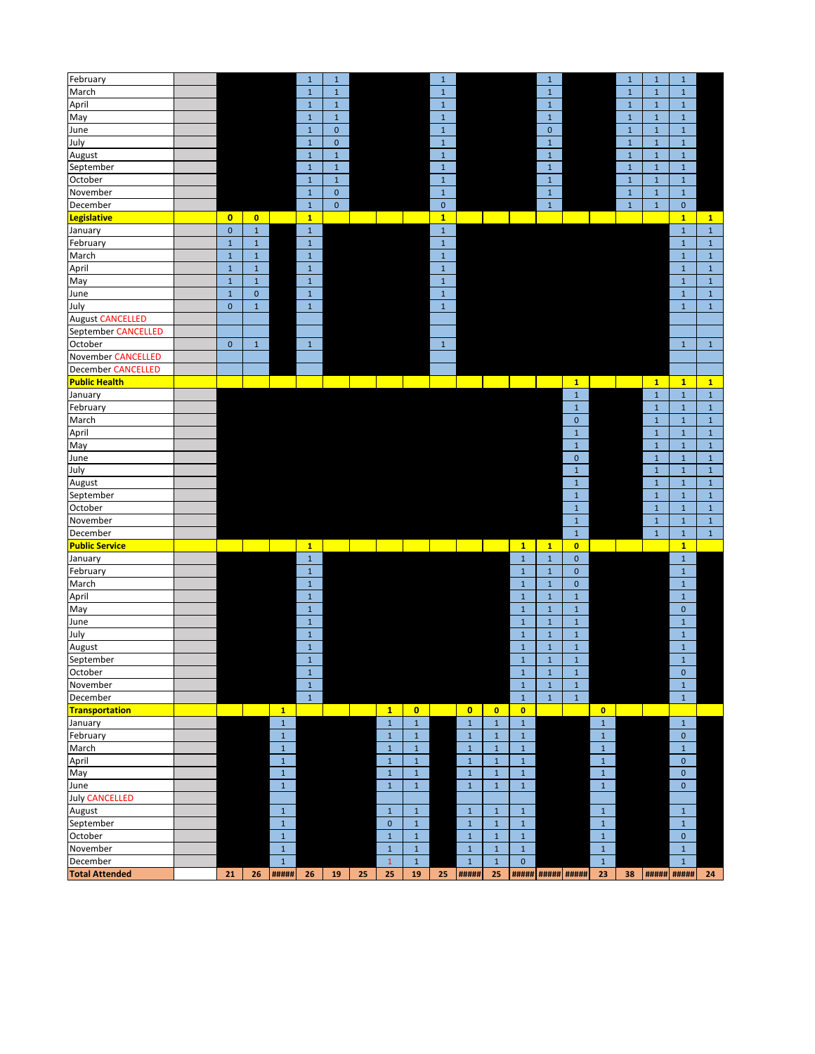| February                  |              |              |              | $\mathbf{1}$ | $\mathbf 1$  |    |              |             | $\mathbf 1$  |              |                                                                                                                       |              | $\mathbf 1$              |              |              | $1\,$        | $\mathbf{1}$ | $\mathbf 1$  |              |
|---------------------------|--------------|--------------|--------------|--------------|--------------|----|--------------|-------------|--------------|--------------|-----------------------------------------------------------------------------------------------------------------------|--------------|--------------------------|--------------|--------------|--------------|--------------|--------------|--------------|
| March                     |              |              |              | $\mathbf{1}$ | $\mathbf 1$  |    |              |             | $\mathbf 1$  |              |                                                                                                                       |              | $\mathbf 1$              |              |              | $\mathbf 1$  | $\mathbf{1}$ | $\mathbf 1$  |              |
| April                     |              |              |              | $1\,$        | $\mathbf 1$  |    |              |             | $\mathbf 1$  |              |                                                                                                                       |              | $\mathbf 1$              |              |              | $\mathbf{1}$ | $\mathbf{1}$ | $\mathbf 1$  |              |
| May                       |              |              |              | $\mathbf 1$  | $\mathbf 1$  |    |              |             | $1\,$        |              |                                                                                                                       |              | $\mathbf{1}$             |              |              | $\mathbf{1}$ | $\mathbf{1}$ | $\mathbf 1$  |              |
| June                      |              |              |              | $1\,$        | $\mathbf{0}$ |    |              |             | $\mathbf 1$  |              |                                                                                                                       |              | $\mathbf{0}$             |              |              | $\mathbf 1$  | $\mathbf{1}$ | $\mathbf 1$  |              |
| July                      |              |              |              | $1\,$        | $\pmb{0}$    |    |              |             | $\mathbf 1$  |              |                                                                                                                       |              | $\mathbf{1}$             |              |              | $\mathbf 1$  | $\mathbf{1}$ | $\mathbf 1$  |              |
| August                    |              |              |              | $1\,$        | $\mathbf 1$  |    |              |             | $\mathbf 1$  |              |                                                                                                                       |              | $\mathbf{1}$             |              |              | $\mathbf{1}$ | $\mathbf{1}$ | $\mathbf{1}$ |              |
| September                 |              |              |              | $\mathbf{1}$ | $\mathbf 1$  |    |              |             | $1\,$        |              |                                                                                                                       |              | $1\,$                    |              |              | $\mathbf{1}$ | $\mathbf{1}$ | $1\,$        |              |
| October                   |              |              |              | $\mathbf{1}$ | $\mathbf{1}$ |    |              |             | $\mathbf{1}$ |              |                                                                                                                       |              | $\mathbf 1$              |              |              | $\mathbf 1$  | $\mathbf{1}$ | $\mathbf 1$  |              |
| November                  |              |              |              | $\,1\,$      | $\mathbf{0}$ |    |              |             | $\mathbf{1}$ |              |                                                                                                                       |              | $\mathbf{1}$             |              |              | $\mathbf{1}$ | $\mathbf{1}$ | $\mathbf 1$  |              |
| December                  |              |              |              | $\mathbf 1$  | $\mathbf 0$  |    |              |             | $\mathbf 0$  |              |                                                                                                                       |              | $\mathbf{1}$             |              |              | $\mathbf{1}$ | $\mathbf{1}$ | $\mathbf{0}$ |              |
| <b>Legislative</b>        | $\mathbf{0}$ | $\bullet$    |              | $\mathbf{1}$ |              |    |              |             | 1            |              |                                                                                                                       |              |                          |              |              |              |              | $\mathbf{1}$ | $\mathbf{1}$ |
|                           | $\pmb{0}$    |              |              |              |              |    |              |             |              |              |                                                                                                                       |              |                          |              |              |              |              |              |              |
| January                   |              | $\,1\,$      |              | $\mathbf 1$  |              |    |              |             | $\mathbf 1$  |              |                                                                                                                       |              |                          |              |              |              |              | $\mathbf 1$  | $\mathbf{1}$ |
| February                  | $\mathbf 1$  | $1\,$        |              | $\mathbf 1$  |              |    |              |             | $\mathbf 1$  |              |                                                                                                                       |              |                          |              |              |              |              | $1\,$        | $\mathbf{1}$ |
| March                     | $\mathbf 1$  | $\mathbf 1$  |              | $1\,$        |              |    |              |             | $\mathbf 1$  |              |                                                                                                                       |              |                          |              |              |              |              | $\mathbf 1$  | $1\,$        |
| April                     | $\mathbf 1$  | $\,1\,$      |              | $\mathbf 1$  |              |    |              |             | $\mathbf 1$  |              |                                                                                                                       |              |                          |              |              |              |              | $\mathbf{1}$ | $\mathbf 1$  |
| May                       | $\mathbf 1$  | $\mathbf 1$  |              | $\,1\,$      |              |    |              |             | $\mathbf 1$  |              |                                                                                                                       |              |                          |              |              |              |              | $\,1\,$      | $\mathbf 1$  |
| June                      | $\mathbf 1$  | $\mathbf{0}$ |              | $1\,$        |              |    |              |             | $\mathbf 1$  |              |                                                                                                                       |              |                          |              |              |              |              | $1\,$        | $\mathbf{1}$ |
| July                      | $\mathbf{0}$ | $\mathbf{1}$ |              | $\mathbf{1}$ |              |    |              |             | $\mathbf{1}$ |              |                                                                                                                       |              |                          |              |              |              |              | $\mathbf 1$  | $\mathbf{1}$ |
| <b>August CANCELLED</b>   |              |              |              |              |              |    |              |             |              |              |                                                                                                                       |              |                          |              |              |              |              |              |              |
| September CANCELLED       |              |              |              |              |              |    |              |             |              |              |                                                                                                                       |              |                          |              |              |              |              |              |              |
| October                   | $\mathbf{0}$ | $\mathbf 1$  |              | $\mathbf{1}$ |              |    |              |             | $\mathbf{1}$ |              |                                                                                                                       |              |                          |              |              |              |              | $\mathbf 1$  | $\mathbf{1}$ |
| <b>November CANCELLED</b> |              |              |              |              |              |    |              |             |              |              |                                                                                                                       |              |                          |              |              |              |              |              |              |
| December CANCELLED        |              |              |              |              |              |    |              |             |              |              |                                                                                                                       |              |                          |              |              |              |              |              |              |
| <b>Public Health</b>      |              |              |              |              |              |    |              |             |              |              | <b>Contract Contract Contract Contract Contract Contract Contract Contract Contract Contract Contract Contract Co</b> |              |                          | $\mathbf{1}$ |              |              | $\mathbf{1}$ | $\mathbf{1}$ | $\mathbf{1}$ |
| January                   |              |              |              |              |              |    |              |             |              |              |                                                                                                                       |              |                          | $\mathbf 1$  |              |              | $\mathbf 1$  | $\mathbf 1$  | $1\,$        |
| February                  |              |              |              |              |              |    |              |             |              |              |                                                                                                                       |              |                          | $\mathbf 1$  |              |              | $\mathbf 1$  | $\mathbf 1$  | $1\,$        |
| March                     |              |              |              |              |              |    |              |             |              |              |                                                                                                                       |              |                          | $\pmb{0}$    |              |              | $\mathbf{1}$ | $\,1\,$      | $\mathbf 1$  |
| April                     |              |              |              |              |              |    |              |             |              |              |                                                                                                                       |              |                          | $\mathbf 1$  |              |              | $\mathbf{1}$ | $\,1\,$      | $\mathbf 1$  |
| May                       |              |              |              |              |              |    |              |             |              |              |                                                                                                                       |              |                          | $\mathbf 1$  |              |              | $\mathbf{1}$ | $\,1\,$      | $\mathbf 1$  |
| June                      |              |              |              |              |              |    |              |             |              |              |                                                                                                                       |              |                          | $\pmb{0}$    |              |              | $\mathbf{1}$ | $\,1\,$      | $\mathbf{1}$ |
| July                      |              |              |              |              |              |    |              |             |              |              |                                                                                                                       |              |                          | $\,1\,$      |              |              | $\mathbf{1}$ | $1\,$        | $\mathbf{1}$ |
| August                    |              |              |              |              |              |    |              |             |              |              |                                                                                                                       |              |                          | $\mathbf 1$  |              |              | $\mathbf{1}$ | $\,1\,$      | $\mathbf 1$  |
| September                 |              |              |              |              |              |    |              |             |              |              |                                                                                                                       |              |                          | $\mathbf 1$  |              |              | $\mathbf 1$  | $\mathbf 1$  | $\mathbf 1$  |
| October                   |              |              |              |              |              |    |              |             |              |              |                                                                                                                       |              |                          | $\mathbf{1}$ |              |              | $\mathbf{1}$ | $\mathbf 1$  | $\mathbf 1$  |
| November                  |              |              |              |              |              |    |              |             |              |              |                                                                                                                       |              |                          | $\mathbf 1$  |              |              | $\mathbf{1}$ | $\,1\,$      | $\mathbf 1$  |
| December                  |              |              |              |              |              |    |              |             |              |              |                                                                                                                       |              |                          | $\mathbf 1$  |              |              | $\mathbf{1}$ | $\mathbf 1$  | $\mathbf 1$  |
| <b>Public Service</b>     |              |              |              | $\mathbf{1}$ |              |    |              |             |              |              |                                                                                                                       | $\mathbf{1}$ | $\mathbf{1}$             | $\bullet$    |              |              |              | $\mathbf{1}$ |              |
| January                   |              |              |              | $\mathbf 1$  |              |    |              |             |              |              |                                                                                                                       | $\mathbf 1$  | $\mathbf 1$              | $\pmb{0}$    |              |              |              | $1\,$        |              |
| February                  |              |              |              | $1\,$        |              |    |              |             |              |              |                                                                                                                       | $\mathbf 1$  | $\mathbf 1$              | $\pmb{0}$    |              |              |              | $\mathbf 1$  |              |
| March                     |              |              |              | $\mathbf 1$  |              |    |              |             |              |              |                                                                                                                       | $\mathbf 1$  | $\mathbf{1}$             | $\mathbf{0}$ |              |              |              | $\mathbf 1$  |              |
| April                     |              |              |              | $\mathbf 1$  |              |    |              |             |              |              |                                                                                                                       | $\mathbf{1}$ | $\mathbf 1$              | $\,1\,$      |              |              |              | $\mathbf 1$  |              |
| May                       |              |              |              | $1\,$        |              |    |              |             |              |              |                                                                                                                       | $\mathbf 1$  | $1\,$                    | $\,1\,$      |              |              |              | $\pmb{0}$    |              |
| June                      |              |              |              | $1\,$        |              |    |              |             |              |              |                                                                                                                       | $\mathbf 1$  | $\mathbf{1}$             | $\mathbf 1$  |              |              |              | $\mathbf 1$  |              |
| July                      |              |              |              | $1\,$        |              |    |              |             |              |              |                                                                                                                       | $\mathbf 1$  | $1\,$                    | $\mathbf 1$  |              |              |              | $\mathbf{1}$ |              |
| August                    |              |              |              | $\mathbf{1}$ |              |    |              |             |              |              |                                                                                                                       | $\mathbf 1$  | $1\,$                    | $\mathbf 1$  |              |              |              | $1\,$        |              |
| September                 |              |              |              | $1\,$        |              |    |              |             |              |              |                                                                                                                       | $\mathbf{1}$ | $1\,$                    | $\mathbf 1$  |              |              |              | $\mathbf{1}$ |              |
| October                   |              |              |              | $\mathbf{1}$ |              |    |              |             |              |              |                                                                                                                       | $\mathbf{1}$ | $\mathbf{1}$             | $\mathbf{1}$ |              |              |              | $\mathbf 0$  |              |
| November                  |              |              |              | $\mathbf 1$  |              |    |              |             |              |              |                                                                                                                       | $\mathbf 1$  | $\mathbf{1}$             | $\mathbf 1$  |              |              |              | $\mathbf 1$  |              |
| December                  |              |              |              | $\mathbf{1}$ |              |    |              |             |              |              |                                                                                                                       | $\mathbf{1}$ | $\mathbf{1}$             | $1\,$        |              |              |              | $\mathbf{1}$ |              |
| <b>Transportation</b>     |              |              | $\mathbf{1}$ |              |              |    | $\mathbf{1}$ | $\bullet$   |              | $\bullet$    | $\bullet$                                                                                                             | $\bullet$    |                          |              | $\bullet$    |              |              |              |              |
| January                   |              |              | $\mathbf 1$  |              |              |    | $\,1\,$      | $\mathbf 1$ |              | $\mathbf 1$  | $\mathbf 1$                                                                                                           | $\,$ 1 $\,$  |                          |              | $\mathbf 1$  |              |              | $\mathbf{1}$ |              |
| February                  |              |              | $\,1\,$      |              |              |    | $\mathbf 1$  | $\,1\,$     |              | $\mathbf 1$  | $\mathbf 1$                                                                                                           | $\mathbf 1$  |                          |              | $\mathbf{1}$ |              |              | $\mathbf{0}$ |              |
| March                     |              |              | $\mathbf 1$  |              |              |    | $1\,$        | $\mathbf 1$ |              | $1\,$        | $1\,$                                                                                                                 | $\mathbf 1$  |                          |              | $\mathbf{1}$ |              |              | $\mathbf 1$  |              |
| April                     |              |              | $\mathbf 1$  |              |              |    | $\,1\,$      | $\mathbf 1$ |              | $\mathbf 1$  | $\,1\,$                                                                                                               | $\mathbf 1$  |                          |              | $\mathbf 1$  |              |              | $\pmb{0}$    |              |
|                           |              |              | $\mathbf 1$  |              |              |    | $\,1\,$      | $\mathbf 1$ |              | $\mathbf 1$  | $\,1\,$                                                                                                               | $\mathbf 1$  |                          |              | $\mathbf 1$  |              |              | $\pmb{0}$    |              |
| May                       |              |              | $\mathbf 1$  |              |              |    |              |             |              | $\mathbf 1$  | $\,1\,$                                                                                                               | $\mathbf 1$  |                          |              |              |              |              | $\pmb{0}$    |              |
| June                      |              |              |              |              |              |    | $1\,$        | $\mathbf 1$ |              |              |                                                                                                                       |              |                          |              | $\mathbf{1}$ |              |              |              |              |
| <b>July CANCELLED</b>     |              |              |              |              |              |    |              |             |              |              |                                                                                                                       |              |                          |              |              |              |              |              |              |
| August                    |              |              | $\,1\,$      |              |              |    | $\mathbf 1$  | $\mathbf 1$ |              | $\mathbf 1$  | $\mathbf 1$                                                                                                           | $\mathbf 1$  |                          |              | $\mathbf{1}$ |              |              | $\mathbf{1}$ |              |
| September                 |              |              | $\mathbf 1$  |              |              |    | $\mathbf 0$  | $\mathbf 1$ |              | $\mathbf 1$  | $\mathbf{1}$                                                                                                          | $\mathbf 1$  |                          |              | $\mathbf{1}$ |              |              | $\mathbf 1$  |              |
| October                   |              |              | $\mathbf 1$  |              |              |    | $\mathbf{1}$ | $\mathbf 1$ |              | $\mathbf 1$  | $\mathbf{1}$                                                                                                          | $\mathbf 1$  |                          |              | $\mathbf 1$  |              |              | $\mathbf{0}$ |              |
| November                  |              |              | $\mathbf 1$  |              |              |    | $\mathbf{1}$ | $\mathbf 1$ |              | $\mathbf 1$  | $\mathbf{1}$                                                                                                          | $\,$ 1 $\,$  |                          |              | $\mathbf 1$  |              |              | $\mathbf 1$  |              |
| December                  |              |              | $\mathbf 1$  |              |              |    | $\mathbf{1}$ | $\mathbf 1$ |              | $\mathbf{1}$ | $\mathbf{1}$                                                                                                          | $\pmb{0}$    |                          |              | $\mathbf{1}$ |              |              | $\mathbf 1$  |              |
| <b>Total Attended</b>     | 21           | 26           | #####        | 26           | 19           | 25 | 25           | 19          | 25           | #####        | 25                                                                                                                    |              | <b>H####</b> ##### ##### |              | 23           |              |              |              | 24           |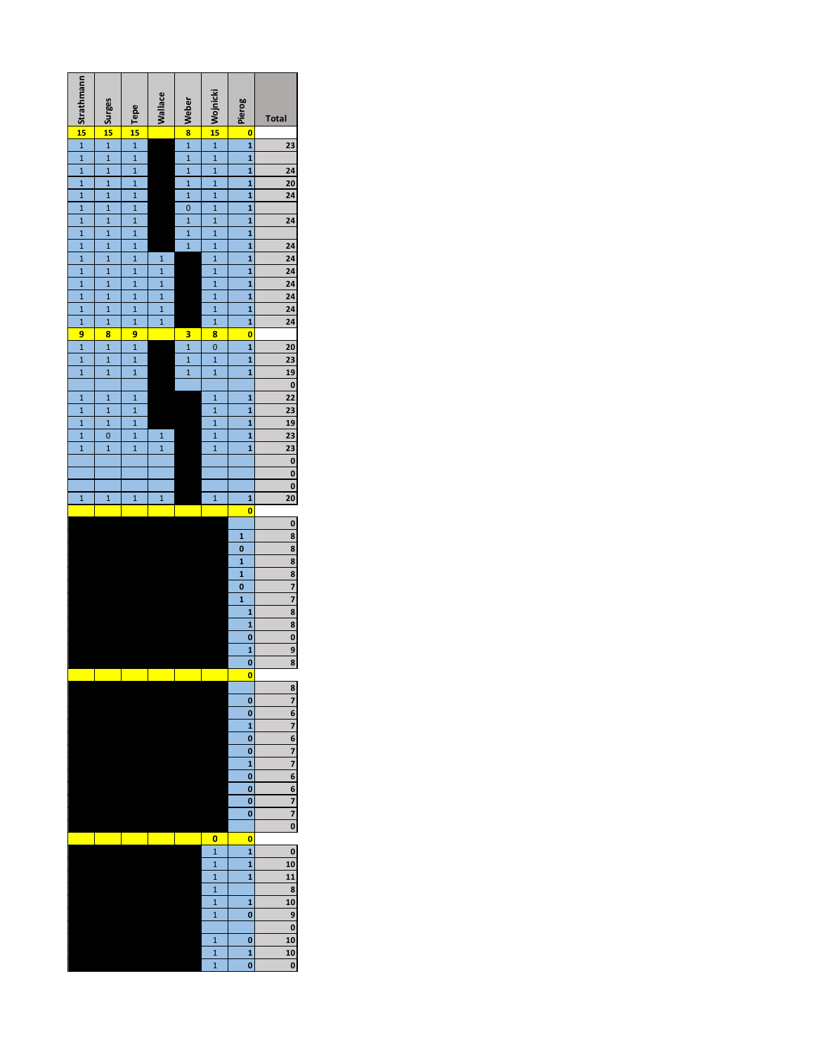| Strathmann                                                            | $\frac{1}{15}$ is the set of $\frac{1}{15}$        | $\frac{1}{15}$          | <b>Wallace</b>                   | $\frac{1}{1}$ $\frac{1}{1}$ | $\frac{12015}{1}$ $\frac{1}{1}$ $\frac{1}{1}$ | Pierog                                             | Total                                                                                                                                                                                 |
|-----------------------------------------------------------------------|----------------------------------------------------|-------------------------|----------------------------------|-----------------------------|-----------------------------------------------|----------------------------------------------------|---------------------------------------------------------------------------------------------------------------------------------------------------------------------------------------|
| $\frac{34}{15}$                                                       |                                                    |                         |                                  |                             |                                               | o                                                  |                                                                                                                                                                                       |
|                                                                       |                                                    |                         |                                  |                             |                                               | $\overline{\mathbf{1}}$                            | 23                                                                                                                                                                                    |
| $\frac{1}{1}$ $\frac{1}{1}$ $\frac{1}{1}$                             |                                                    |                         |                                  |                             |                                               | $\overline{\mathbf{1}}$                            |                                                                                                                                                                                       |
|                                                                       | $\overline{1}$                                     |                         |                                  |                             | $\overline{\mathbf{1}}$                       |                                                    |                                                                                                                                                                                       |
|                                                                       | $\overline{1}$                                     | $\frac{1}{1}$           |                                  | $\frac{1}{1}$               | $\overline{1}$                                | $\frac{1}{1}$                                      | $\frac{24}{20}$                                                                                                                                                                       |
|                                                                       | $\overline{\mathbf{1}}$                            | $\overline{\mathbf{1}}$ |                                  |                             | $\overline{1}$                                | 1                                                  |                                                                                                                                                                                       |
| $\frac{1}{1}$ $\frac{1}{1}$ $\frac{1}{1}$                             | $\overline{\mathbf{1}}$                            | $\overline{1}$          |                                  | $\frac{0}{1}$               | $\mathbf{1}$                                  | $\overline{\mathbf{1}}$                            |                                                                                                                                                                                       |
|                                                                       | $\overline{1}$                                     | $\overline{1}$          |                                  |                             | $\overline{\mathbf{1}}$                       | $\overline{\mathbf{1}}$                            | 24                                                                                                                                                                                    |
|                                                                       | $\overline{1}$                                     | $\overline{1}$          |                                  |                             | $\overline{\mathbf{1}}$                       | 1                                                  |                                                                                                                                                                                       |
|                                                                       | $\overline{1}$                                     | $\frac{1}{1}$           |                                  | $\overline{1}$              | $\overline{1}$                                | $\overline{\mathbf{1}}$                            |                                                                                                                                                                                       |
| $\overline{1}$                                                        | $\overline{\mathbf{1}}$<br>$\overline{\mathbf{1}}$ | $\overline{1}$          | $\overline{1}$<br>$\overline{1}$ |                             | $\overline{\mathbf{1}}$<br>$\mathbf{1}$       | $\overline{\mathbf{1}}$<br>$\overline{\mathbf{1}}$ | $\frac{24}{24}$ $\frac{24}{24}$ $\frac{24}{24}$ $\frac{24}{24}$                                                                                                                       |
| $\overline{1}$                                                        | $\mathbf{1}$                                       | $\overline{\mathbf{1}}$ |                                  |                             | $\mathbf{1}$                                  | 1                                                  |                                                                                                                                                                                       |
|                                                                       | $\mathbf{1}$                                       | $\overline{\mathbf{1}}$ | $\frac{1}{1}$                    |                             | $\overline{\mathbf{1}}$                       | $\overline{\mathbf{1}}$                            |                                                                                                                                                                                       |
|                                                                       | $\overline{1}$                                     | $\overline{1}$          | $\overline{1}$                   |                             | $\mathbf{1}$                                  | $\overline{\mathbf{1}}$                            |                                                                                                                                                                                       |
|                                                                       | $\mathbf{1}$                                       | $\frac{1}{1}$           | $\overline{1}$                   |                             | $\overline{\mathbf{1}}$                       | 1                                                  |                                                                                                                                                                                       |
|                                                                       | 8                                                  | 9                       |                                  | 3                           | 8                                             | $\overline{\mathbf{0}}$                            |                                                                                                                                                                                       |
|                                                                       | $\overline{\mathbf{1}}$                            |                         |                                  |                             | $\overline{0}$                                |                                                    |                                                                                                                                                                                       |
| $\frac{1}{1}$ $\frac{1}{1}$ $\frac{1}{9}$ $\frac{1}{1}$ $\frac{1}{1}$ | $\overline{1}$                                     | $\frac{1}{1}$           |                                  | $\frac{1}{1}$               | $\overline{\mathbf{1}}$                       | $\frac{1}{1}$                                      |                                                                                                                                                                                       |
|                                                                       | $\overline{\mathbf{1}}$                            | $\overline{1}$          |                                  | $\overline{1}$              | $\overline{\mathbf{1}}$                       | $\overline{\mathbf{1}}$                            | $\begin{array}{r} 2023 \overline{)190} \overline{)2223} \overline{)2330} \overline{)000} \overline{)0} \ \hline 0 \ \hline 0 \ \hline 0 \ \hline 0 \ \hline 0 \ \hline 0 \end{array}$ |
|                                                                       |                                                    |                         |                                  |                             |                                               |                                                    |                                                                                                                                                                                       |
| $\mathbf{1}$                                                          | $\mathbf{1}$                                       | $\mathbf{1}$            |                                  |                             | $\mathbf{1}$                                  | 1                                                  |                                                                                                                                                                                       |
| $\frac{1}{1}$                                                         | $\overline{\mathbf{1}}$                            | $\overline{\mathbf{1}}$ |                                  |                             | $\overline{1}$                                | $\overline{\mathbf{1}}$                            |                                                                                                                                                                                       |
|                                                                       | $\overline{1}$                                     | $\frac{1}{1}$           |                                  |                             | $\overline{\mathbf{1}}$                       | $\overline{\mathbf{1}}$                            |                                                                                                                                                                                       |
| $\overline{1}$                                                        | $\overline{0}$                                     |                         | $\mathbf{1}$                     |                             | $\overline{\mathbf{1}}$                       | 1<br>$\mathbf{1}$                                  |                                                                                                                                                                                       |
|                                                                       | $\overline{1}$                                     | $\overline{\mathbf{1}}$ | $\overline{1}$                   |                             | $\overline{1}$                                |                                                    |                                                                                                                                                                                       |
|                                                                       |                                                    |                         |                                  |                             |                                               |                                                    |                                                                                                                                                                                       |
|                                                                       |                                                    |                         |                                  |                             |                                               |                                                    |                                                                                                                                                                                       |
| $\overline{1}$                                                        | $\overline{1}$                                     | $\overline{1}$          | $\overline{1}$                   |                             | $\mathbf{1}$                                  | 1                                                  |                                                                                                                                                                                       |
|                                                                       |                                                    |                         |                                  |                             |                                               | 0                                                  |                                                                                                                                                                                       |
|                                                                       |                                                    |                         |                                  |                             |                                               |                                                    |                                                                                                                                                                                       |
|                                                                       |                                                    |                         |                                  |                             |                                               |                                                    | $\frac{0.8}{8.8} \cdot \frac{8}{8.7} \cdot \frac{7}{7} \cdot \frac{8}{8.8} \cdot \frac{8}{0.9} \cdot \frac{9}{8}$                                                                     |
|                                                                       |                                                    |                         |                                  |                             |                                               | $\frac{1}{0}$                                      |                                                                                                                                                                                       |
|                                                                       |                                                    |                         |                                  |                             |                                               |                                                    |                                                                                                                                                                                       |
|                                                                       |                                                    |                         |                                  |                             |                                               | $\frac{1}{1}$                                      |                                                                                                                                                                                       |
|                                                                       |                                                    |                         |                                  |                             |                                               |                                                    |                                                                                                                                                                                       |
|                                                                       |                                                    |                         |                                  |                             |                                               | 1                                                  |                                                                                                                                                                                       |
|                                                                       |                                                    |                         |                                  |                             |                                               | 1<br>1                                             |                                                                                                                                                                                       |
|                                                                       |                                                    |                         |                                  |                             |                                               | $\overline{\mathbf{0}}$                            |                                                                                                                                                                                       |
|                                                                       |                                                    |                         |                                  |                             |                                               | $\overline{\mathbf{1}}$                            |                                                                                                                                                                                       |
|                                                                       |                                                    |                         |                                  |                             |                                               | $\overline{\overline{\mathbf{0}}}$                 |                                                                                                                                                                                       |
|                                                                       |                                                    |                         |                                  |                             |                                               | o                                                  |                                                                                                                                                                                       |
|                                                                       |                                                    |                         |                                  |                             |                                               |                                                    | 8                                                                                                                                                                                     |
|                                                                       |                                                    |                         |                                  |                             |                                               | 0                                                  | 7                                                                                                                                                                                     |
|                                                                       |                                                    |                         |                                  |                             |                                               | 0                                                  | 6                                                                                                                                                                                     |
|                                                                       |                                                    |                         |                                  |                             |                                               | $\mathbf{1}$                                       | 7                                                                                                                                                                                     |
|                                                                       |                                                    |                         |                                  |                             |                                               | 0                                                  | 6                                                                                                                                                                                     |
|                                                                       |                                                    |                         |                                  |                             |                                               | $\mathbf{o}$                                       | 7                                                                                                                                                                                     |
|                                                                       |                                                    |                         |                                  |                             |                                               | $\mathbf{1}$                                       | 7                                                                                                                                                                                     |
|                                                                       |                                                    |                         |                                  |                             |                                               | 0<br>0                                             | 6<br>6                                                                                                                                                                                |
|                                                                       |                                                    |                         |                                  |                             |                                               | 0                                                  |                                                                                                                                                                                       |
|                                                                       |                                                    |                         |                                  |                             |                                               | 0                                                  | $\frac{7}{7}$                                                                                                                                                                         |
|                                                                       |                                                    |                         |                                  |                             |                                               |                                                    | $\overline{\mathbf{0}}$                                                                                                                                                               |
|                                                                       |                                                    |                         |                                  |                             | o                                             | o                                                  |                                                                                                                                                                                       |
|                                                                       |                                                    |                         |                                  |                             | $\mathbf{1}$                                  | $\mathbf{1}$                                       | 0                                                                                                                                                                                     |
|                                                                       |                                                    |                         |                                  |                             | $\mathbf{1}$                                  | 1                                                  | 10                                                                                                                                                                                    |
|                                                                       |                                                    |                         |                                  |                             | $\overline{1}$                                | $\mathbf{1}$                                       | 11                                                                                                                                                                                    |
|                                                                       |                                                    |                         |                                  |                             | $\overline{1}$                                |                                                    | 8                                                                                                                                                                                     |
|                                                                       |                                                    |                         |                                  |                             | $\overline{1}$                                | $\mathbf{1}$                                       | 10                                                                                                                                                                                    |
|                                                                       |                                                    |                         |                                  |                             | $\overline{1}$                                | 0                                                  | 9                                                                                                                                                                                     |
|                                                                       |                                                    |                         |                                  |                             |                                               |                                                    | $\mathbf{0}$                                                                                                                                                                          |
|                                                                       |                                                    |                         |                                  |                             | $\overline{1}$                                | $\mathbf{o}$                                       | 10                                                                                                                                                                                    |
|                                                                       |                                                    |                         |                                  |                             | $\overline{1}$<br>$\overline{1}$              | $\mathbf{1}$<br>o                                  | 10<br>0                                                                                                                                                                               |
|                                                                       |                                                    |                         |                                  |                             |                                               |                                                    |                                                                                                                                                                                       |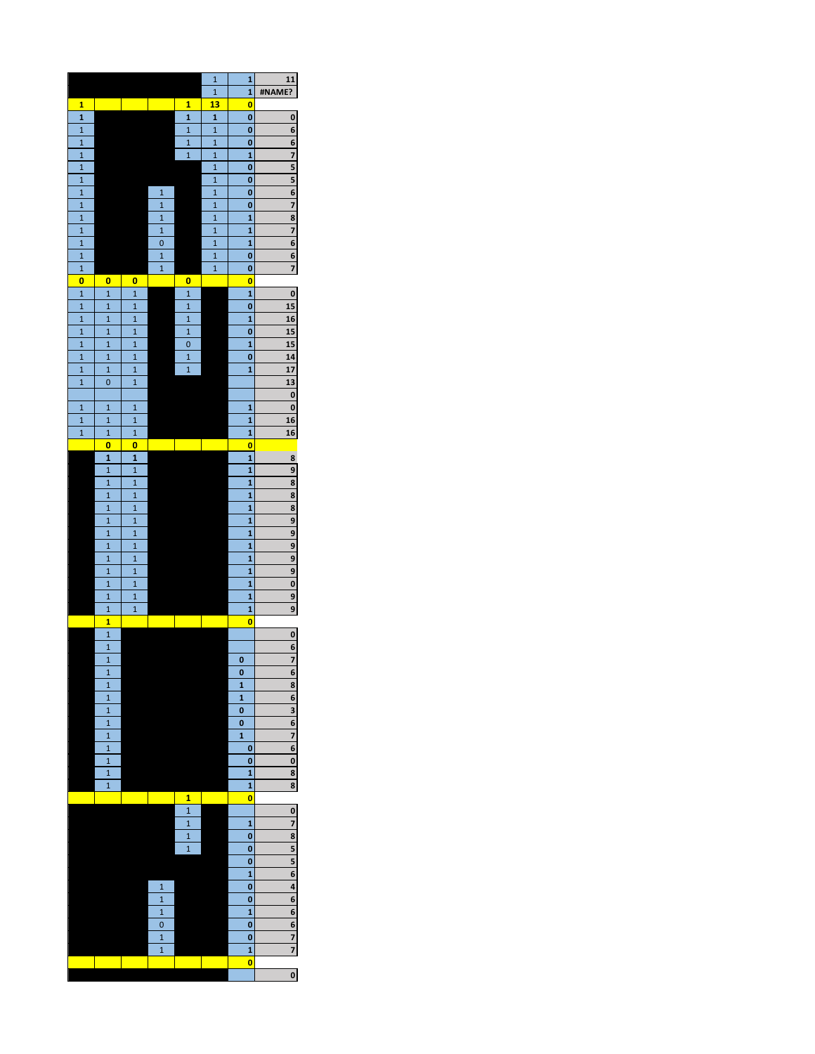|                                  |                                |                                |                         |                                         | $\mathbf{1}$                   | 1                       | 11                      |
|----------------------------------|--------------------------------|--------------------------------|-------------------------|-----------------------------------------|--------------------------------|-------------------------|-------------------------|
|                                  |                                |                                |                         |                                         | $\overline{\mathbf{1}}$        | 1                       | #NAME?                  |
| 1                                |                                |                                |                         | 1                                       | 13                             | o                       |                         |
| $\mathbf{1}$                     |                                |                                |                         | $\mathbf{1}$                            | 1                              | o                       | 0                       |
| $\mathbf{1}$                     |                                |                                |                         | $\mathbf{1}$                            | $\mathbf{1}$                   | 0                       | 6                       |
| $\overline{1}$<br>$\overline{1}$ |                                |                                |                         | $\mathbf{1}$<br>$\overline{\mathbf{1}}$ | $\overline{1}$<br>$\mathbf{1}$ | o<br>1                  | $\frac{6}{1}$<br>7      |
| $\mathbf{1}$                     |                                |                                |                         |                                         | $\mathbf{1}$                   | 0                       | 5                       |
| $\overline{1}$                   |                                |                                |                         |                                         | $\overline{1}$                 | o                       | 5                       |
| $\mathbf{1}$                     |                                |                                | $\mathbf{1}$            |                                         | $\mathbf{1}$                   | 0                       | $\overline{6}$          |
| $\mathbf{1}$                     |                                |                                | $\mathbf{1}$            |                                         | $\mathbf{1}$                   | 0                       | 7                       |
| $\mathbf{1}$                     |                                |                                | $\overline{1}$          |                                         | $\overline{1}$                 | 1                       | 8                       |
| $\overline{1}$                   |                                |                                | $\mathbf{1}$            |                                         | $\overline{1}$                 | 1                       | 7                       |
| $\mathbf{1}$                     |                                |                                | $\mathbf{0}$            |                                         | $\mathbf{1}$                   | 1                       | 6                       |
| $\overline{1}$                   |                                |                                | $\overline{1}$          |                                         | $\mathbf{1}$                   | o                       | 6                       |
| $\overline{1}$                   |                                |                                | $\overline{\mathbf{1}}$ |                                         | $\overline{1}$                 | o                       | 7                       |
| $\overline{\mathbf{0}}$          | o                              | o                              |                         | o                                       |                                | o                       |                         |
| $\overline{1}$                   | $\overline{1}$                 | $\overline{1}$                 |                         | $\overline{1}$                          |                                | $\mathbf{1}$            | 0                       |
| $\overline{1}$                   | $\mathbf{1}$                   | $\mathbf{1}$                   |                         | $\overline{\mathbf{1}}$                 |                                | 0                       | 15                      |
| $\mathbf{1}$                     | $\mathbf{1}$                   | $\mathbf{1}$                   |                         | $\overline{1}$                          |                                | 1                       | <u>16</u>               |
| $\overline{1}$                   | $\mathbf{1}$                   | $\overline{1}$                 |                         | $\overline{\mathbf{1}}$                 |                                | 0                       | 15                      |
| $\mathbf{1}$                     | $\mathbf{1}$                   | $\mathbf{1}$                   |                         | $\mathbf{0}$                            |                                | $\mathbf{1}$            | 15                      |
| $\mathbf{1}$                     | $\mathbf{1}$<br>$\mathbf{1}$   | $\mathbf{1}$<br>$\mathbf{1}$   |                         | $\mathbf{1}$<br>$\overline{1}$          |                                | 0                       | 14<br>17                |
| $\mathbf{1}$<br>$\overline{1}$   | 0                              | $\mathbf{1}$                   |                         |                                         |                                | 1                       | 13                      |
|                                  |                                |                                |                         |                                         |                                |                         | 0                       |
| $\mathbf{1}$                     | $\mathbf{1}$                   | $\overline{1}$                 |                         |                                         |                                | 1                       | 0                       |
| $\mathbf{1}$                     | $\mathbf{1}$                   | $\mathbf{1}$                   |                         |                                         |                                | $\mathbf{1}$            | 16                      |
| $\mathbf{1}$                     | $\mathbf{1}$                   | $\mathbf{1}$                   |                         |                                         |                                | 1                       | 16                      |
|                                  | o                              | O                              |                         |                                         |                                | o                       |                         |
|                                  | 1                              | 1                              |                         |                                         |                                | $\mathbf{1}$            | 8                       |
|                                  | $\mathbf{1}$                   | $\mathbf{1}$                   |                         |                                         |                                | $\mathbf{1}$            | 9                       |
|                                  | $\overline{1}$                 | $\overline{\mathbf{1}}$        |                         |                                         |                                | 1                       | 8                       |
|                                  | $\mathbf{1}$                   | $\mathbf{1}$                   |                         |                                         |                                | 1                       | 8                       |
|                                  | $\mathbf{1}$                   | $\overline{\mathbf{1}}$        |                         |                                         |                                | 1                       | 8                       |
|                                  | $\mathbf{1}$                   | $\mathbf{1}$                   |                         |                                         |                                | 1                       | 9                       |
|                                  | $\overline{1}$                 | $\overline{\mathbf{1}}$        |                         |                                         |                                | $\mathbf{1}$            | 9                       |
|                                  | $\mathbf{1}$                   | $\mathbf{1}$                   |                         |                                         |                                | 1                       | 9                       |
|                                  | $\mathbf{1}$                   | $\overline{1}$                 |                         |                                         |                                | 1                       | 9                       |
|                                  | $\mathbf{1}$                   | $\overline{1}$                 |                         |                                         |                                | $\mathbf{1}$            | 9                       |
|                                  | $\mathbf{1}$                   | $\mathbf{1}$<br>$\overline{1}$ |                         |                                         |                                | 1                       | $\overline{\mathbf{0}}$ |
|                                  | $\mathbf{1}$<br>$\mathbf{1}$   | $\mathbf{1}$                   |                         |                                         |                                | 1<br>1                  | 9<br>9                  |
|                                  | $\overline{\mathbf{1}}$        |                                |                         |                                         |                                | O                       |                         |
|                                  | $\overline{1}$                 |                                |                         |                                         |                                |                         | 0                       |
|                                  | $\overline{1}$                 |                                |                         |                                         |                                |                         | 6                       |
|                                  | $\mathbf{1}$                   |                                |                         |                                         |                                | 0                       | 7                       |
|                                  | $\mathbf{1}$                   |                                |                         |                                         |                                | $\bf{0}$                | $\overline{\mathbf{6}}$ |
|                                  | $\overline{\mathbf{1}}$        |                                |                         |                                         |                                | 1                       | 8                       |
|                                  | $\mathbf{1}$                   |                                |                         |                                         |                                | 1                       | 6                       |
|                                  | $\overline{\mathbf{1}}$        |                                |                         |                                         |                                | 0                       | 3                       |
|                                  | $\overline{\mathbf{1}}$        |                                |                         |                                         |                                | $\overline{\mathbf{0}}$ | $\overline{6}$          |
|                                  | $\mathbf{1}$                   |                                |                         |                                         |                                | 1                       | 7                       |
|                                  | $\overline{1}$                 |                                |                         |                                         |                                | 0                       | 6                       |
|                                  | $\overline{\mathbf{1}}$        |                                |                         |                                         |                                | $\overline{\mathbf{0}}$ | $\overline{\mathbf{0}}$ |
|                                  | $\overline{1}$<br>$\mathbf{1}$ |                                |                         |                                         |                                | 1<br>$\mathbf{1}$       | $\frac{8}{8}$           |
|                                  |                                |                                |                         | 1                                       |                                | 0                       |                         |
|                                  |                                |                                |                         | $\overline{1}$                          |                                |                         | $\overline{\mathbf{0}}$ |
|                                  |                                |                                |                         | $\mathbf{1}$                            |                                | $\mathbf{1}$            | 7                       |
|                                  |                                |                                |                         | $\overline{1}$                          |                                | 0                       | 8                       |
|                                  |                                |                                |                         | $\overline{\mathbf{1}}$                 |                                | 0                       | 5                       |
|                                  |                                |                                |                         |                                         |                                | 0                       | 5                       |
|                                  |                                |                                |                         |                                         |                                | 1                       | 6                       |
|                                  |                                |                                | $\overline{1}$          |                                         |                                | 0                       | 4                       |
|                                  |                                |                                | $\overline{1}$          |                                         |                                | 0                       | $\overline{6}$          |
|                                  |                                |                                | $\overline{1}$          |                                         |                                | $\overline{\mathbf{1}}$ | 6                       |
|                                  |                                |                                | $\mathbf{0}$            |                                         |                                | $\overline{\mathbf{0}}$ | 6                       |
|                                  |                                |                                | $\mathbf{1}$            |                                         |                                | 0                       | 7                       |
|                                  |                                |                                | $\mathbf{1}$            |                                         |                                | 1                       | 7                       |
|                                  |                                |                                |                         |                                         |                                | o                       |                         |
|                                  |                                |                                |                         |                                         |                                |                         | 0                       |